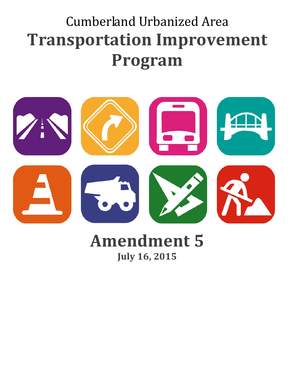# Cumberland Urbanized Area **Transportation Improvement Program**



# **Amendment 5 July 16, 2015**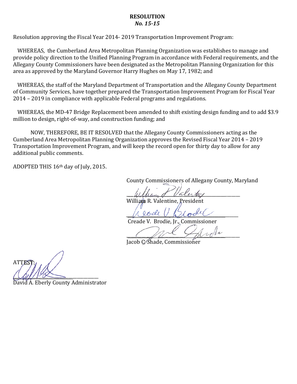#### **RESOLUTION** *No. 15-15*

Resolution approving the Fiscal Year 2014- 2019 Transportation Improvement Program:

WHEREAS, the Cumberland Area Metropolitan Planning Organization was establishes to manage and provide policy direction to the Unified Planning Program in accordance with Federal requirements, and the Allegany County Commissioners have been designated as the Metropolitan Planning Organization for this area as approved by the Maryland Governor Harry Hughes on May 17, 1982; and

WHEREAS, the staff of the Maryland Department of Transportation and the Allegany County Department of Community Services, have together prepared the Transportation Improvement Program for Fiscal Year 2014 – 2019 in compliance with applicable Federal programs and regulations.

WHEREAS, the MD-47 Bridge Replacement been amended to shift existing design funding and to add \$3.9 million to design, right-of-way, and construction funding; and

NOW, THEREFORE, BE IT RESOLVED that the Allegany County Commissioners acting as the Cumberland Area Metropolitan Planning Organization approves the Revised Fiscal Year 2014 – 2019 Transportation Improvement Program, and will keep the record open for thirty day to allow for any additional public comments.

ADOPTED THIS 16th day of July, 2015.

County Commissioners of Allegany County, Maryland

 $W$  there are  $\ell$  valent  $\ell$ 

William R. Valentine

 $\mu$  love  $\mu$  ploot

Creade V. Brodie.

 $\frac{1}{2}$ Jacob C. Shade, Commissioner

**ATTES**  $\triangle$ 

David A. Eberly County Administrator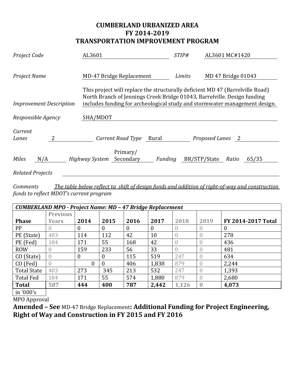## **CUMBERLAND URBANIZED AREA FY 2014-2019 TRANSPORTATION IMPROVEMENT PROGRAM**

| Project Code                   | AL3601                                                                                                                                                    | STIP#   | AL3601 MC#1420                                                             |  |  |
|--------------------------------|-----------------------------------------------------------------------------------------------------------------------------------------------------------|---------|----------------------------------------------------------------------------|--|--|
| Project Name                   | <b>MD-47 Bridge Replacement</b>                                                                                                                           | Limits  | MD 47 Bridge 01043                                                         |  |  |
| <b>Improvement Description</b> | This project will replace the structurally deficient MD 47 (Barrelyille Road)<br>North Branch of Jennings Creek Bridge 01043, Barrelville. Design funding |         | includes funding for archeological study and stormwater management design. |  |  |
| Responsible Agency             | SHA/MDOT                                                                                                                                                  |         |                                                                            |  |  |
| Current<br>Lanes               | Current Road Type                                                                                                                                         | Rural   | Proposed Lanes 2                                                           |  |  |
| <b>Miles</b><br>N/A            | Primary/<br>Highway System<br>Secondary                                                                                                                   | Funding | BR/STP/State<br>Ratio<br>65/35                                             |  |  |
| <b>Related Projects</b>        |                                                                                                                                                           |         |                                                                            |  |  |

*Comments The table below reflect ta shift of design funds and addition of right-of-way and construction funds to reflect MDOT's current program* 

| <b>CUMBERLAND MPO - Project Name: MD - 47 Bridge Replacement</b> |                  |                |          |              |              |                  |                  |                    |
|------------------------------------------------------------------|------------------|----------------|----------|--------------|--------------|------------------|------------------|--------------------|
|                                                                  | <b>Previous</b>  |                |          |              |              |                  |                  |                    |
| <b>Phase</b>                                                     | <b>Years</b>     | 2014           | 2015     | 2016         | 2017         | 2018             | 2019             | FY 2014-2017 Total |
| PP                                                               |                  | $\overline{0}$ | 0        | $\mathbf{0}$ | $\mathbf{0}$ |                  | 0                | 0                  |
| PE (State)                                                       | 403              | 114            | 112      | 42           | 10           | $\left( \right)$ |                  | 278                |
| PE (Fed)                                                         | 184              | 171            | 55       | 168          | 42           | $\bigcap$        |                  | 436                |
| <b>ROW</b>                                                       |                  | 159            | 233      | 56           | 33           |                  |                  | 481                |
| CO (State)                                                       | $\overline{0}$   | $\overline{0}$ | 0        | 115          | 519          | 247              |                  | 634                |
| CO (Fed)                                                         | $\left( \right)$ | $\theta$       | $\theta$ | 406          | 1,838        | 879              | $\left( \right)$ | 2,244              |
| <b>Total State</b>                                               | 403              | 273            | 345      | 213          | 532          | 247              | $\theta$         | 1,393              |
| Total Fed                                                        | 184              | 171            | 55       | 574          | 1,880        | 879              | $\left( \right)$ | 2,680              |
| Total                                                            | 587              | 444            | 400      | 787          | 2,442        | 1,126            |                  | 4,073              |
|                                                                  |                  |                |          |              |              |                  |                  |                    |

| in '000's

MPO Approval

**Amended – See** MD-47 Bridge Replacement**: Additional Funding for Project Engineering, Right of Way and Construction in FY 2015 and FY 2016**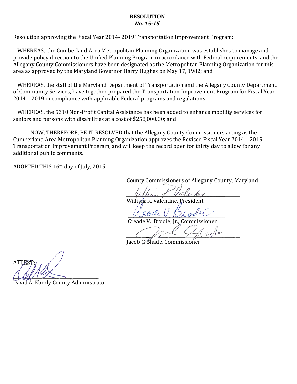#### **RESOLUTION** *No. 15-15*

Resolution approving the Fiscal Year 2014- 2019 Transportation Improvement Program:

WHEREAS, the Cumberland Area Metropolitan Planning Organization was establishes to manage and provide policy direction to the Unified Planning Program in accordance with Federal requirements, and the Allegany County Commissioners have been designated as the Metropolitan Planning Organization for this area as approved by the Maryland Governor Harry Hughes on May 17, 1982; and

WHEREAS, the staff of the Maryland Department of Transportation and the Allegany County Department of Community Services, have together prepared the Transportation Improvement Program for Fiscal Year 2014 – 2019 in compliance with applicable Federal programs and regulations.

WHEREAS, the 5310 Non-Profit Capital Assistance has been added to enhance mobility services for seniors and persons with disabilities at a cost of \$258,000.00; and

NOW, THEREFORE, BE IT RESOLVED that the Allegany County Commissioners acting as the Cumberland Area Metropolitan Planning Organization approves the Revised Fiscal Year 2014 – 2019 Transportation Improvement Program, and will keep the record open for thirty day to allow for any additional public comments.

ADOPTED THIS 16th day of July, 2015.

County Commissioners of Allegany County, Maryland

 $W$  there are  $\ell$  valent  $\ell$ 

William R. Valentine

 $\mu$  love  $\mu$  ploot

Creade V. Brodie.

 $\frac{1}{2}$ Jacob C. Shade, Commissioner

**ATTES**  $\triangle$ 

David A. Eberly County Administrator